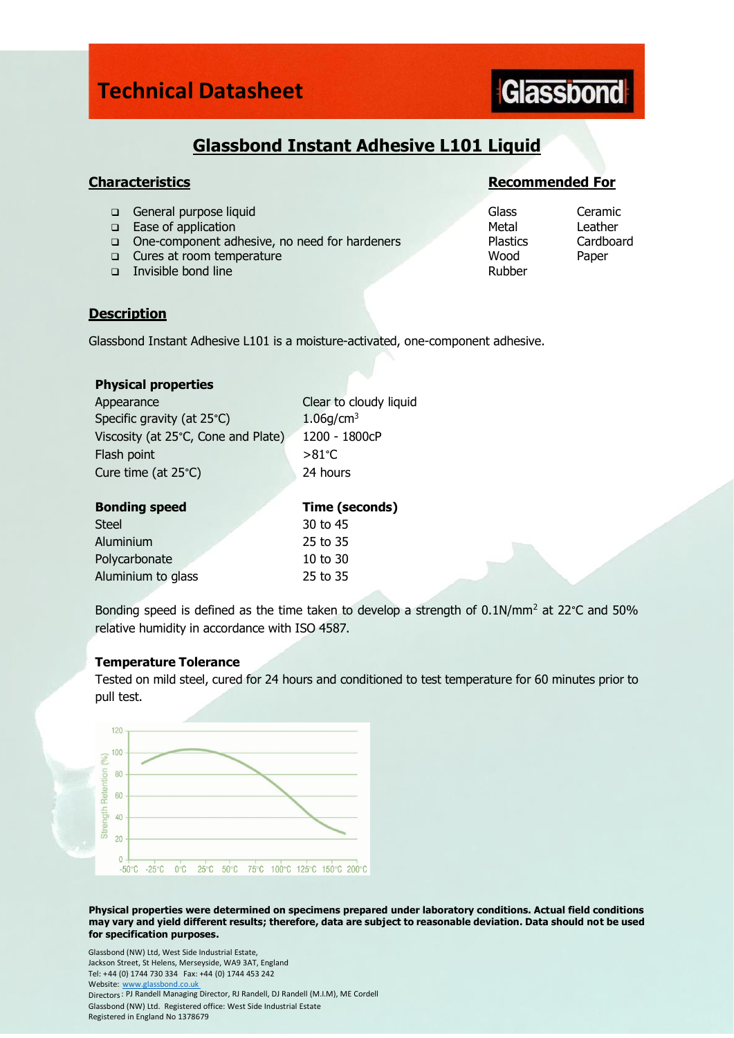### **Technical Datasheet**

# **Glassbond**

### **Glassbond Instant Adhesive L101 Liquid**

- ❑ General purpose liquid Glass Ceramic
- ❑ Ease of application Metal Leather
- ❑ One-component adhesive, no need for hardeners Plastics Cardboard
- ❑ Cures at room temperature Wood Paper
- ❑ Invisible bond line Rubber

### **Characteristics Recommended For**

### **Description**

Glassbond Instant Adhesive L101 is a moisture-activated, one-component adhesive.

### **Physical properties**

| Appearance                          | Clear to cloudy liquid |
|-------------------------------------|------------------------|
| Specific gravity (at 25°C)          | 1.06q/cm <sup>3</sup>  |
| Viscosity (at 25°C, Cone and Plate) | 1200 - 1800cP          |
| Flash point                         | $> 81^{\circ}$ C       |
| Cure time (at $25^{\circ}$ C)       | 24 hours               |

| <b>Bonding speed</b> | Time (seconds) |
|----------------------|----------------|
| <b>Steel</b>         | 30 to 45       |
| Aluminium            | 25 to 35       |
| Polycarbonate        | $10$ to $30$   |
| Aluminium to glass   | 25 to 35       |

Bonding speed is defined as the time taken to develop a strength of 0.1N/mm<sup>2</sup> at 22°C and 50% relative humidity in accordance with ISO 4587.

### **Temperature Tolerance**

Tested on mild steel, cured for 24 hours and conditioned to test temperature for 60 minutes prior to pull test.



**Physical properties were determined on specimens prepared under laboratory conditions. Actual field conditions may vary and yield different results; therefore, data are subject to reasonable deviation. Data should not be used for specification purposes.**

Glassbond (NW) Ltd, West Side Industrial Estate, Jackson Street, St Helens, Merseyside, WA9 3AT, England Tel: +44 (0) 1744 730 334 Fax: +44 (0) 1744 453 242 Website: www.glassbond.co.uk Directors: PJ Randell Managing Director, RJ Randell, DJ Randell (M.I.M), ME Cordell Glassbond (NW) Ltd. Registered office: West Side Industrial Estate Registered in England No 1378679